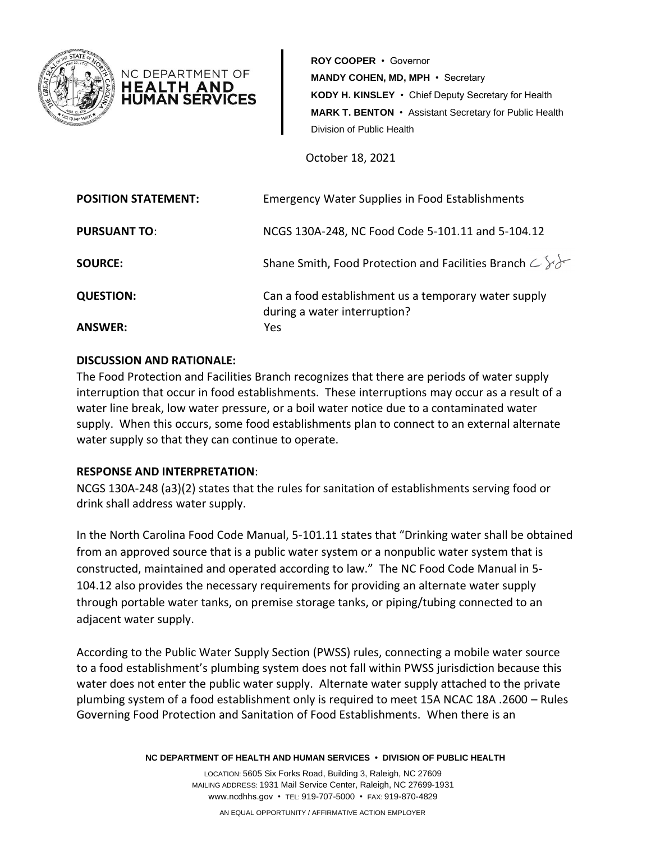

**ROY COOPER** • Governor **MANDY COHEN, MD, MPH** • Secretary **KODY H. KINSLEY** • Chief Deputy Secretary for Health **MARK T. BENTON** • Assistant Secretary for Public Health Division of Public Health

October 18, 2021

| <b>POSITION STATEMENT:</b> | <b>Emergency Water Supplies in Food Establishments</b>                               |
|----------------------------|--------------------------------------------------------------------------------------|
| <b>PURSUANT TO:</b>        | NCGS 130A-248, NC Food Code 5-101.11 and 5-104.12                                    |
| <b>SOURCE:</b>             | Shane Smith, Food Protection and Facilities Branch $\subset \mathbb{R}$              |
| <b>QUESTION:</b>           | Can a food establishment us a temporary water supply<br>during a water interruption? |
| <b>ANSWER:</b>             | Yes.                                                                                 |

## **DISCUSSION AND RATIONALE:**

NC DEPARTMENT OF HEALTH AND HUMAN SER'

The Food Protection and Facilities Branch recognizes that there are periods of water supply interruption that occur in food establishments. These interruptions may occur as a result of a water line break, low water pressure, or a boil water notice due to a contaminated water supply. When this occurs, some food establishments plan to connect to an external alternate water supply so that they can continue to operate.

## **RESPONSE AND INTERPRETATION**:

NCGS 130A-248 (a3)(2) states that the rules for sanitation of establishments serving food or drink shall address water supply.

In the North Carolina Food Code Manual, 5-101.11 states that "Drinking water shall be obtained from an approved source that is a public water system or a nonpublic water system that is constructed, maintained and operated according to law." The NC Food Code Manual in 5- 104.12 also provides the necessary requirements for providing an alternate water supply through portable water tanks, on premise storage tanks, or piping/tubing connected to an adjacent water supply.

According to the Public Water Supply Section (PWSS) rules, connecting a mobile water source to a food establishment's plumbing system does not fall within PWSS jurisdiction because this water does not enter the public water supply. Alternate water supply attached to the private plumbing system of a food establishment only is required to meet 15A NCAC 18A .2600 – Rules Governing Food Protection and Sanitation of Food Establishments. When there is an

**NC DEPARTMENT OF HEALTH AND HUMAN SERVICES • DIVISION OF PUBLIC HEALTH**

LOCATION: 5605 Six Forks Road, Building 3, Raleigh, NC 27609 MAILING ADDRESS: 1931 Mail Service Center, Raleigh, NC 27699-1931 www.ncdhhs.gov • TEL: 919-707-5000 • FAX: 919-870-4829